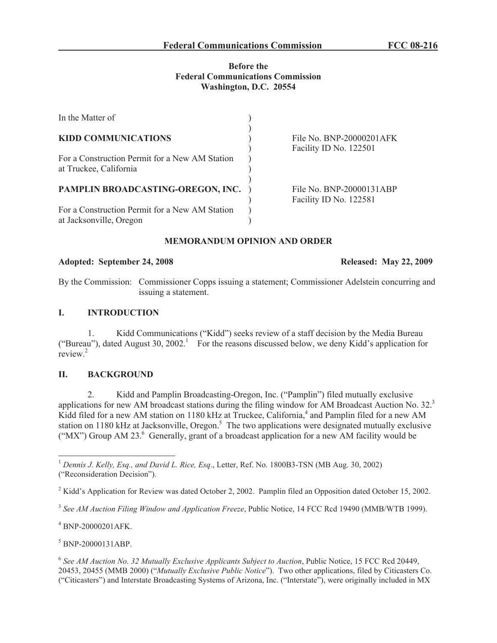### **Before the Federal Communications Commission Washington, D.C. 20554**

| In the Matter of                                                          |                                                    |
|---------------------------------------------------------------------------|----------------------------------------------------|
| <b>KIDD COMMUNICATIONS</b>                                                | File No. BNP-20000201AFK<br>Facility ID No. 122501 |
| For a Construction Permit for a New AM Station<br>at Truckee, California  |                                                    |
| PAMPLIN BROADCASTING-OREGON, INC.                                         | File No. BNP-20000131ABP<br>Facility ID No. 122581 |
| For a Construction Permit for a New AM Station<br>at Jacksonville, Oregon |                                                    |

## **MEMORANDUM OPINION AND ORDER**

#### **Adopted: September 24, 2008 Released: May 22, 2009**

By the Commission: Commissioner Copps issuing a statement; Commissioner Adelstein concurring and issuing a statement.

#### **I. INTRODUCTION**

1. Kidd Communications ("Kidd") seeks review of a staff decision by the Media Bureau ("Bureau"), dated August 30, 2002.<sup>1</sup> For the reasons discussed below, we deny Kidd's application for review.<sup>2</sup>

#### **II. BACKGROUND**

2. Kidd and Pamplin Broadcasting-Oregon, Inc. ("Pamplin") filed mutually exclusive applications for new AM broadcast stations during the filing window for AM Broadcast Auction No. 32.<sup>3</sup> Kidd filed for a new AM station on 1180 kHz at Truckee, California,<sup>4</sup> and Pamplin filed for a new AM station on 1180 kHz at Jacksonville, Oregon.<sup>5</sup> The two applications were designated mutually exclusive ("MX") Group AM 23. $<sup>6</sup>$  Generally, grant of a broadcast application for a new AM facility would be</sup>

<sup>1</sup> *Dennis J. Kelly, Esq., and David L. Rice, Esq*., Letter, Ref. No. 1800B3-TSN (MB Aug. 30, 2002) ("Reconsideration Decision").

<sup>2</sup> Kidd's Application for Review was dated October 2, 2002. Pamplin filed an Opposition dated October 15, 2002.

3 *See AM Auction Filing Window and Application Freeze*, Public Notice, 14 FCC Rcd 19490 (MMB/WTB 1999).

<sup>4</sup> BNP-20000201AFK.

<sup>5</sup> BNP-20000131ABP.

6 *See AM Auction No. 32 Mutually Exclusive Applicants Subject to Auction*, Public Notice, 15 FCC Rcd 20449, 20453, 20455 (MMB 2000) ("*Mutually Exclusive Public Notice*"). Two other applications, filed by Citicasters Co. ("Citicasters") and Interstate Broadcasting Systems of Arizona, Inc. ("Interstate"), were originally included in MX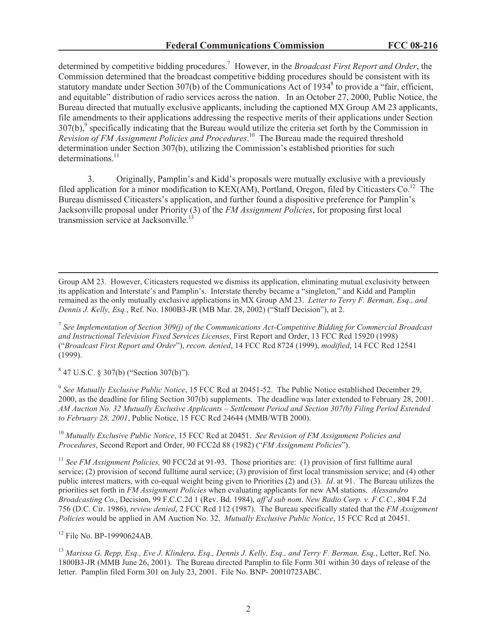determined by competitive bidding procedures.<sup>7</sup> However, in the *Broadcast First Report and Order*, the Commission determined that the broadcast competitive bidding procedures should be consistent with its statutory mandate under Section 307(b) of the Communications Act of 1934 $\textdegree$  to provide a "fair, efficient, and equitable" distribution of radio services across the nation. In an October 27, 2000, Public Notice, the Bureau directed that mutually exclusive applicants, including the captioned MX Group AM 23 applicants, file amendments to their applications addressing the respective merits of their applications under Section  $307(b)$ , specifically indicating that the Bureau would utilize the criteria set forth by the Commission in *Revision of FM Assignment Policies and Procedures*. <sup>10</sup> The Bureau made the required threshold determination under Section 307(b), utilizing the Commission's established priorities for such determinations. $11$ 

3. Originally, Pamplin's and Kidd's proposals were mutually exclusive with a previously filed application for a minor modification to KEX(AM), Portland, Oregon, filed by Citicasters Co.<sup>12</sup> The Bureau dismissed Citicasters's application, and further found a dispositive preference for Pamplin's Jacksonville proposal under Priority (3) of the *FM Assignment Policies*, for proposing first local transmission service at Jacksonville.<sup>1</sup>

Group AM 23. However, Citicasters requested we dismiss its application, eliminating mutual exclusivity between its application and Interstate's and Pamplin's. Interstate thereby became a "singleton," and Kidd and Pamplin remained as the only mutually exclusive applications in MX Group AM 23. *Letter to Terry F. Berman, Esq., and Dennis J. Kelly, Esq.*, Ref. No. 1800B3-JR (MB Mar. 28, 2002) ("Staff Decision"), at 2.

7 *See Implementation of Section 309(j) of the Communications Act-Competitive Bidding for Commercial Broadcast and Instructional Television Fixed Services Licenses*, First Report and Order, 13 FCC Rcd 15920 (1998) ("*Broadcast First Report and Order*"), *recon. denied*, 14 FCC Rcd 8724 (1999), *modified*, 14 FCC Rcd 12541 (1999).

8 47 U.S.C. § 307(b) ("Section 307(b)").

9 *See Mutually Exclusive Public Notice*, 15 FCC Rcd at 20451-52. The Public Notice established December 29, 2000, as the deadline for filing Section 307(b) supplements. The deadline was later extended to February 28, 2001. *AM Auction No. 32 Mutually Exclusive Applicants – Settlement Period and Section 307(b) Filing Period Extended to February 28, 2001*, Public Notice, 15 FCC Rcd 24644 (MMB/WTB 2000).

<sup>10</sup> *Mutually Exclusive Public Notice*, 15 FCC Rcd at 20451. *See Revision of FM Assignment Policies and Procedures*, Second Report and Order, 90 FCC2d 88 (1982) ("*FM Assignment Policies*").

<sup>11</sup> See FM Assignment Policies, 90 FCC2d at 91-93. Those priorities are: (1) provision of first fulltime aural service; (2) provision of second fulltime aural service; (3) provision of first local transmission service; and (4) other public interest matters, with co-equal weight being given to Priorities (2) and (3). *Id*. at 91. The Bureau utilizes the priorities set forth in *FM Assignment Policies* when evaluating applicants for new AM stations. *Alessandro Broadcasting Co.*, Decision, 99 F.C.C.2d 1 (Rev. Bd. 1984), *aff'd sub nom*. *New Radio Corp. v. F.C.C.*, 804 F.2d 756 (D.C. Cir. 1986), *review denied*, 2 FCC Rcd 112 (1987). The Bureau specifically stated that the *FM Assignment Policies* would be applied in AM Auction No. 32. *Mutually Exclusive Public Notice*, 15 FCC Rcd at 20451.

<sup>&</sup>lt;sup>12</sup> File No. BP-19990624AB.

<sup>13</sup> *Marissa G. Repp, Esq., Eve J. Klindera, Esq., Dennis J. Kelly, Esq., and Terry F. Berman, Esq.*, Letter, Ref. No. 1800B3-JR (MMB June 26, 2001). The Bureau directed Pamplin to file Form 301 within 30 days of release of the letter. Pamplin filed Form 301 on July 23, 2001. File No. BNP- 20010723ABC.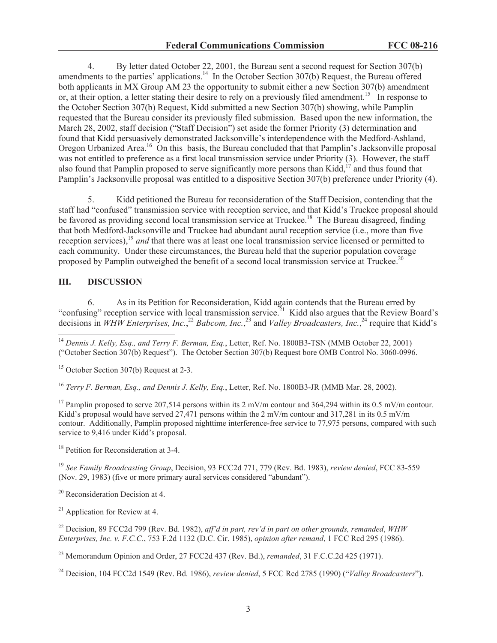4. By letter dated October 22, 2001, the Bureau sent a second request for Section 307(b) amendments to the parties' applications.<sup>14</sup> In the October Section 307(b) Request, the Bureau offered both applicants in MX Group AM 23 the opportunity to submit either a new Section 307(b) amendment or, at their option, a letter stating their desire to rely on a previously filed amendment.<sup>15</sup> In response to the October Section 307(b) Request, Kidd submitted a new Section 307(b) showing, while Pamplin requested that the Bureau consider its previously filed submission. Based upon the new information, the March 28, 2002, staff decision ("Staff Decision") set aside the former Priority (3) determination and found that Kidd persuasively demonstrated Jacksonville's interdependence with the Medford-Ashland, Oregon Urbanized Area.<sup>16</sup> On this basis, the Bureau concluded that that Pamplin's Jacksonville proposal was not entitled to preference as a first local transmission service under Priority (3). However, the staff also found that Pamplin proposed to serve significantly more persons than Kidd, $^{17}$  and thus found that Pamplin's Jacksonville proposal was entitled to a dispositive Section 307(b) preference under Priority (4).

5. Kidd petitioned the Bureau for reconsideration of the Staff Decision, contending that the staff had "confused" transmission service with reception service, and that Kidd's Truckee proposal should be favored as providing second local transmission service at Truckee.<sup>18</sup> The Bureau disagreed, finding that both Medford-Jacksonville and Truckee had abundant aural reception service (i.e., more than five reception services),<sup>19</sup> *and* that there was at least one local transmission service licensed or permitted to each community. Under these circumstances, the Bureau held that the superior population coverage proposed by Pamplin outweighed the benefit of a second local transmission service at Truckee.<sup>20</sup>

# **III. DISCUSSION**

6. As in its Petition for Reconsideration, Kidd again contends that the Bureau erred by "confusing" reception service with local transmission service.<sup>21</sup> Kidd also argues that the Review Board's decisions in *WHW Enterprises, Inc.*,<sup>22</sup> *Babcom, Inc.*,<sup>23</sup> and *Valley Broadcasters, Inc.*,<sup>24</sup> require that Kidd's

<sup>15</sup> October Section 307(b) Request at 2-3.

<sup>16</sup> *Terry F. Berman, Esq., and Dennis J. Kelly, Esq.*, Letter, Ref. No. 1800B3-JR (MMB Mar. 28, 2002).

<sup>17</sup> Pamplin proposed to serve 207,514 persons within its 2 mV/m contour and 364,294 within its 0.5 mV/m contour. Kidd's proposal would have served 27,471 persons within the  $2 \text{ mV/m}$  contour and 317,281 in its 0.5 mV/m contour. Additionally, Pamplin proposed nighttime interference-free service to 77,975 persons, compared with such service to 9,416 under Kidd's proposal.

<sup>18</sup> Petition for Reconsideration at 3-4.

<sup>19</sup> *See Family Broadcasting Group*, Decision, 93 FCC2d 771, 779 (Rev. Bd. 1983), *review denied*, FCC 83-559 (Nov. 29, 1983) (five or more primary aural services considered "abundant").

<sup>20</sup> Reconsideration Decision at 4.

 $21$  Application for Review at 4.

<sup>22</sup> Decision, 89 FCC2d 799 (Rev. Bd. 1982), *aff'd in part, rev'd in part on other grounds, remanded*, *WHW Enterprises, Inc. v. F.C.C.*, 753 F.2d 1132 (D.C. Cir. 1985), *opinion after remand*, 1 FCC Rcd 295 (1986).

<sup>23</sup> Memorandum Opinion and Order, 27 FCC2d 437 (Rev. Bd.), *remanded*, 31 F.C.C.2d 425 (1971).

<sup>24</sup> Decision, 104 FCC2d 1549 (Rev. Bd. 1986), *review denied*, 5 FCC Rcd 2785 (1990) ("*Valley Broadcasters*").

<sup>14</sup> *Dennis J. Kelly, Esq., and Terry F. Berman, Esq.*, Letter, Ref. No. 1800B3-TSN (MMB October 22, 2001) ("October Section 307(b) Request"). The October Section 307(b) Request bore OMB Control No. 3060-0996.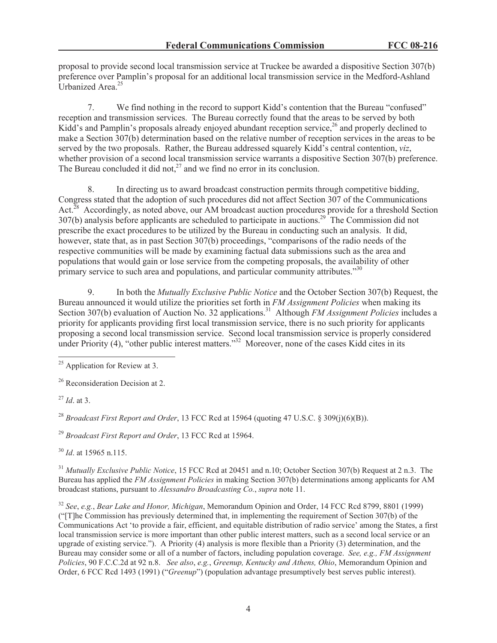proposal to provide second local transmission service at Truckee be awarded a dispositive Section 307(b) preference over Pamplin's proposal for an additional local transmission service in the Medford-Ashland Urbanized Area<sup>25</sup>

7. We find nothing in the record to support Kidd's contention that the Bureau "confused" reception and transmission services. The Bureau correctly found that the areas to be served by both Kidd's and Pamplin's proposals already enjoyed abundant reception service,<sup>26</sup> and properly declined to make a Section 307(b) determination based on the relative number of reception services in the areas to be served by the two proposals. Rather, the Bureau addressed squarely Kidd's central contention, *viz*, whether provision of a second local transmission service warrants a dispositive Section 307(b) preference. The Bureau concluded it did not, $^{27}$  and we find no error in its conclusion.

8. In directing us to award broadcast construction permits through competitive bidding, Congress stated that the adoption of such procedures did not affect Section 307 of the Communications Act.<sup>28</sup> Accordingly, as noted above, our AM broadcast auction procedures provide for a threshold Section 307(b) analysis before applicants are scheduled to participate in auctions.<sup>29</sup> The Commission did not prescribe the exact procedures to be utilized by the Bureau in conducting such an analysis. It did, however, state that, as in past Section 307(b) proceedings, "comparisons of the radio needs of the respective communities will be made by examining factual data submissions such as the area and populations that would gain or lose service from the competing proposals, the availability of other primary service to such area and populations, and particular community attributes.<sup>330</sup>

9. In both the *Mutually Exclusive Public Notice* and the October Section 307(b) Request, the Bureau announced it would utilize the priorities set forth in *FM Assignment Policies* when making its Section 307(b) evaluation of Auction No. 32 applications.<sup>31</sup> Although *FM Assignment Policies* includes a priority for applicants providing first local transmission service, there is no such priority for applicants proposing a second local transmission service. Second local transmission service is properly considered under Priority (4), "other public interest matters."<sup>32</sup> Moreover, none of the cases Kidd cites in its

<sup>27</sup> *Id*. at 3.

<sup>28</sup> *Broadcast First Report and Order*, 13 FCC Rcd at 15964 (quoting 47 U.S.C. § 309(j)(6)(B)).

<sup>29</sup> *Broadcast First Report and Order*, 13 FCC Rcd at 15964.

<sup>30</sup> *Id*. at 15965 n.115.

<sup>31</sup> *Mutually Exclusive Public Notice*, 15 FCC Rcd at 20451 and n.10; October Section 307(b) Request at 2 n.3. The Bureau has applied the *FM Assignment Policies* in making Section 307(b) determinations among applicants for AM broadcast stations, pursuant to *Alessandro Broadcasting Co.*, *supra* note 11.

<sup>32</sup> *See*, *e.g.*, *Bear Lake and Honor, Michigan*, Memorandum Opinion and Order, 14 FCC Rcd 8799, 8801 (1999) ("[T]he Commission has previously determined that, in implementing the requirement of Section 307(b) of the Communications Act 'to provide a fair, efficient, and equitable distribution of radio service' among the States, a first local transmission service is more important than other public interest matters, such as a second local service or an upgrade of existing service."). A Priority (4) analysis is more flexible than a Priority (3) determination, and the Bureau may consider some or all of a number of factors, including population coverage. *See, e.g., FM Assignment Policies*, 90 F.C.C.2d at 92 n.8. *See also*, *e.g.*, *Greenup, Kentucky and Athens, Ohio*, Memorandum Opinion and Order, 6 FCC Rcd 1493 (1991) ("*Greenup*") (population advantage presumptively best serves public interest).

 $25$  Application for Review at 3.

<sup>&</sup>lt;sup>26</sup> Reconsideration Decision at 2.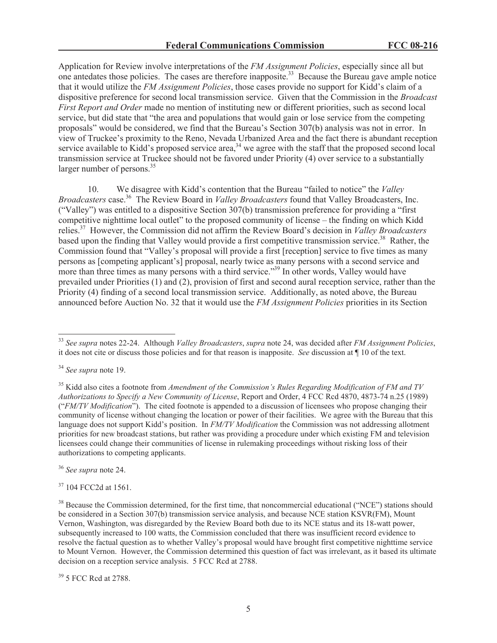Application for Review involve interpretations of the *FM Assignment Policies*, especially since all but one antedates those policies. The cases are therefore inapposite.<sup>33</sup> Because the Bureau gave ample notice that it would utilize the *FM Assignment Policies*, those cases provide no support for Kidd's claim of a dispositive preference for second local transmission service. Given that the Commission in the *Broadcast First Report and Order* made no mention of instituting new or different priorities, such as second local service, but did state that "the area and populations that would gain or lose service from the competing proposals" would be considered, we find that the Bureau's Section 307(b) analysis was not in error. In view of Truckee's proximity to the Reno, Nevada Urbanized Area and the fact there is abundant reception service available to Kidd's proposed service area,<sup>34</sup> we agree with the staff that the proposed second local transmission service at Truckee should not be favored under Priority (4) over service to a substantially larger number of persons.<sup>35</sup>

10. We disagree with Kidd's contention that the Bureau "failed to notice" the *Valley Broadcasters* case.<sup>36</sup> The Review Board in *Valley Broadcasters* found that Valley Broadcasters, Inc. ("Valley") was entitled to a dispositive Section 307(b) transmission preference for providing a "first competitive nighttime local outlet" to the proposed community of license – the finding on which Kidd relies.<sup>37</sup> However, the Commission did not affirm the Review Board's decision in *Valley Broadcasters* based upon the finding that Valley would provide a first competitive transmission service.<sup>38</sup> Rather, the Commission found that "Valley's proposal will provide a first [reception] service to five times as many persons as [competing applicant's] proposal, nearly twice as many persons with a second service and more than three times as many persons with a third service."<sup>39</sup> In other words, Valley would have prevailed under Priorities (1) and (2), provision of first and second aural reception service, rather than the Priority (4) finding of a second local transmission service. Additionally, as noted above, the Bureau announced before Auction No. 32 that it would use the *FM Assignment Policies* priorities in its Section

<sup>36</sup> *See supra* note 24.

<sup>37</sup> 104 FCC2d at 1561.

<sup>39</sup> 5 FCC Rcd at 2788.

<sup>33</sup> *See supra* notes 22-24. Although *Valley Broadcasters*, *supra* note 24, was decided after *FM Assignment Policies*, it does not cite or discuss those policies and for that reason is inapposite. *See* discussion at ¶ 10 of the text.

<sup>34</sup> *See supra* note 19.

<sup>35</sup> Kidd also cites a footnote from *Amendment of the Commission's Rules Regarding Modification of FM and TV Authorizations to Specify a New Community of License*, Report and Order, 4 FCC Rcd 4870, 4873-74 n.25 (1989) ("*FM/TV Modification*"). The cited footnote is appended to a discussion of licensees who propose changing their community of license without changing the location or power of their facilities. We agree with the Bureau that this language does not support Kidd's position. In *FM/TV Modification* the Commission was not addressing allotment priorities for new broadcast stations, but rather was providing a procedure under which existing FM and television licensees could change their communities of license in rulemaking proceedings without risking loss of their authorizations to competing applicants.

<sup>&</sup>lt;sup>38</sup> Because the Commission determined, for the first time, that noncommercial educational ("NCE") stations should be considered in a Section 307(b) transmission service analysis, and because NCE station KSVR(FM), Mount Vernon, Washington, was disregarded by the Review Board both due to its NCE status and its 18-watt power, subsequently increased to 100 watts, the Commission concluded that there was insufficient record evidence to resolve the factual question as to whether Valley's proposal would have brought first competitive nighttime service to Mount Vernon. However, the Commission determined this question of fact was irrelevant, as it based its ultimate decision on a reception service analysis. 5 FCC Rcd at 2788.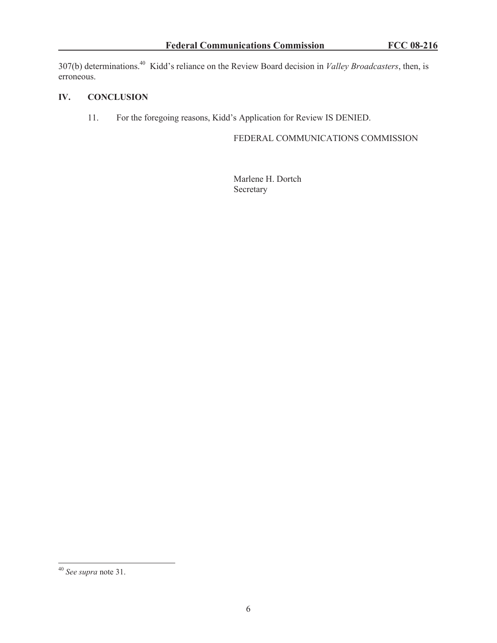307(b) determinations.<sup>40</sup> Kidd's reliance on the Review Board decision in *Valley Broadcasters*, then, is erroneous.

### **IV. CONCLUSION**

11. For the foregoing reasons, Kidd's Application for Review IS DENIED.

FEDERAL COMMUNICATIONS COMMISSION

Marlene H. Dortch Secretary

<sup>40</sup> *See supra* note 31.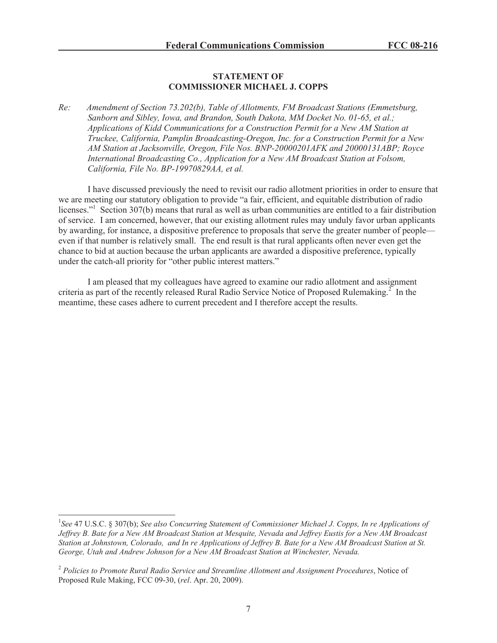#### **STATEMENT OF COMMISSIONER MICHAEL J. COPPS**

*Re: Amendment of Section 73.202(b), Table of Allotments, FM Broadcast Stations (Emmetsburg, Sanborn and Sibley, Iowa, and Brandon, South Dakota, MM Docket No. 01-65, et al.; Applications of Kidd Communications for a Construction Permit for a New AM Station at Truckee, California, Pamplin Broadcasting-Oregon, Inc. for a Construction Permit for a New AM Station at Jacksonville, Oregon, File Nos. BNP-20000201AFK and 20000131ABP; Royce International Broadcasting Co., Application for a New AM Broadcast Station at Folsom, California, File No. BP-19970829AA, et al.*

I have discussed previously the need to revisit our radio allotment priorities in order to ensure that we are meeting our statutory obligation to provide "a fair, efficient, and equitable distribution of radio licenses."<sup>1</sup> Section 307(b) means that rural as well as urban communities are entitled to a fair distribution of service. I am concerned, however, that our existing allotment rules may unduly favor urban applicants by awarding, for instance, a dispositive preference to proposals that serve the greater number of people even if that number is relatively small. The end result is that rural applicants often never even get the chance to bid at auction because the urban applicants are awarded a dispositive preference, typically under the catch-all priority for "other public interest matters."

I am pleased that my colleagues have agreed to examine our radio allotment and assignment criteria as part of the recently released Rural Radio Service Notice of Proposed Rulemaking.<sup>2</sup> In the meantime, these cases adhere to current precedent and I therefore accept the results.

<sup>&</sup>lt;sup>1</sup>See 47 U.S.C. § 307(b); *See also Concurring Statement of Commissioner Michael J. Copps, In re Applications of Jeffrey B. Bate for a New AM Broadcast Station at Mesquite, Nevada and Jeffrey Eustis for a New AM Broadcast Station at Johnstown, Colorado, and In re Applications of Jeffrey B. Bate for a New AM Broadcast Station at St. George, Utah and Andrew Johnson for a New AM Broadcast Station at Winchester, Nevada.*

<sup>2</sup> *Policies to Promote Rural Radio Service and Streamline Allotment and Assignment Procedures*, Notice of Proposed Rule Making, FCC 09-30, (*rel*. Apr. 20, 2009).